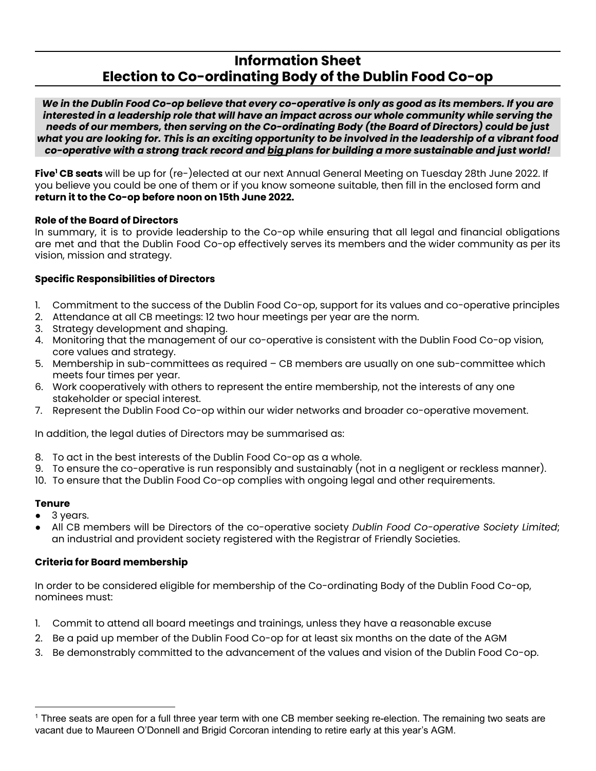# **Information Sheet Election to Co-ordinating Body of the Dublin Food Co-op**

We in the Dublin Food Co-op believe that every co-operative is only as good as its members. If you are *interested in a leadership role that will have an impact across our whole community while serving the needs of our members, then serving on the Co-ordinating Body (the Board of Directors) could be just* what you are looking for. This is an exciting opportunity to be involved in the leadership of a vibrant food *co-operative with a strong track record and big plans for building a more sustainable and just world!*

**Five<sup>1</sup> CB seats** will be up for (re-)elected at our next Annual General Meeting on Tuesday 28th June 2022. If you believe you could be one of them or if you know someone suitable, then fill in the enclosed form and **return it to the Co-op before noon on 15th June 2022.**

#### **Role of the Board of Directors**

In summary, it is to provide leadership to the Co-op while ensuring that all legal and financial obligations are met and that the Dublin Food Co-op effectively serves its members and the wider community as per its vision, mission and strategy.

# **Specific Responsibilities of Directors**

- 1. Commitment to the success of the Dublin Food Co-op, support for its values and co-operative principles
- 2. Attendance at all CB meetings: 12 two hour meetings per year are the norm.
- 3. Strategy development and shaping.
- 4. Monitoring that the management of our co-operative is consistent with the Dublin Food Co-op vision, core values and strategy.
- 5. Membership in sub-committees as required CB members are usually on one sub-committee which meets four times per year.
- 6. Work cooperatively with others to represent the entire membership, not the interests of any one stakeholder or special interest.
- 7. Represent the Dublin Food Co-op within our wider networks and broader co-operative movement.

In addition, the legal duties of Directors may be summarised as:

- 8. To act in the best interests of the Dublin Food Co-op as a whole.
- 9. To ensure the co-operative is run responsibly and sustainably (not in a negligent or reckless manner).
- 10. To ensure that the Dublin Food Co-op complies with ongoing legal and other requirements.

# **Tenure**

- 3 years.
- All CB members will be Directors of the co-operative society *Dublin Food Co-operative Society Limited*; an industrial and provident society registered with the Registrar of Friendly Societies.

# **Criteria for Board membership**

In order to be considered eligible for membership of the Co-ordinating Body of the Dublin Food Co-op, nominees must:

- 1. Commit to attend all board meetings and trainings, unless they have a reasonable excuse
- 2. Be a paid up member of the Dublin Food Co-op for at least six months on the date of the AGM
- 3. Be demonstrably committed to the advancement of the values and vision of the Dublin Food Co-op.

<sup>1</sup> Three seats are open for a full three year term with one CB member seeking re-election. The remaining two seats are vacant due to Maureen O'Donnell and Brigid Corcoran intending to retire early at this year's AGM.